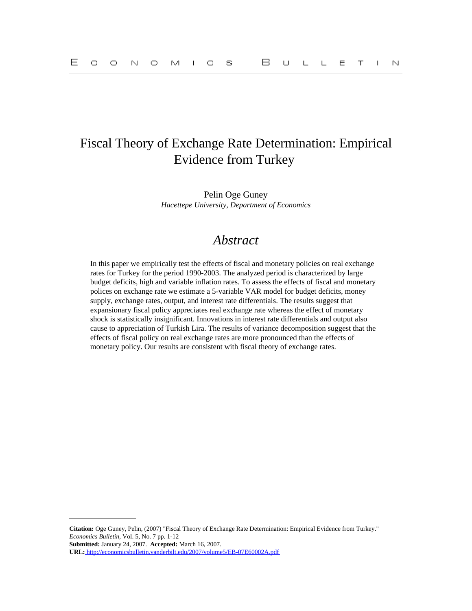# Fiscal Theory of Exchange Rate Determination: Empirical Evidence from Turkey

Pelin Oge Guney *Hacettepe University, Department of Economics*

# *Abstract*

In this paper we empirically test the effects of fiscal and monetary policies on real exchange rates for Turkey for the period 1990-2003. The analyzed period is characterized by large budget deficits, high and variable inflation rates. To assess the effects of fiscal and monetary polices on exchange rate we estimate a 5-variable VAR model for budget deficits, money supply, exchange rates, output, and interest rate differentials. The results suggest that expansionary fiscal policy appreciates real exchange rate whereas the effect of monetary shock is statistically insignificant. Innovations in interest rate differentials and output also cause to appreciation of Turkish Lira. The results of variance decomposition suggest that the effects of fiscal policy on real exchange rates are more pronounced than the effects of monetary policy. Our results are consistent with fiscal theory of exchange rates.

**Citation:** Oge Guney, Pelin, (2007) "Fiscal Theory of Exchange Rate Determination: Empirical Evidence from Turkey." *Economics Bulletin,* Vol. 5, No. 7 pp. 1-12

**Submitted:** January 24, 2007. **Accepted:** March 16, 2007.

**URL:**<http://economicsbulletin.vanderbilt.edu/2007/volume5/EB-07E60002A.pdf>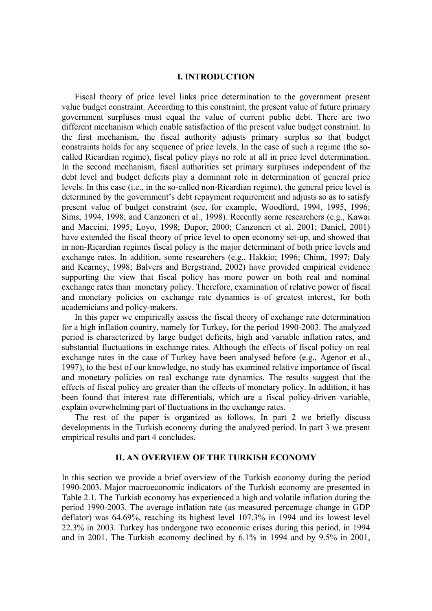### **I. INTRODUCTION**

Fiscal theory of price level links price determination to the government present value budget constraint. According to this constraint, the present value of future primary government surpluses must equal the value of current public debt. There are two different mechanism which enable satisfaction of the present value budget constraint. In the first mechanism, the fiscal authority adjusts primary surplus so that budget constraints holds for any sequence of price levels. In the case of such a regime (the socalled Ricardian regime), fiscal policy plays no role at all in price level determination. In the second mechanism, fiscal authorities set primary surpluses independent of the debt level and budget deficits play a dominant role in determination of general price levels. In this case (i.e., in the so-called non-Ricardian regime), the general price level is determined by the government's debt repayment requirement and adjusts so as to satisfy present value of budget constraint (see, for example, Woodford, 1994, 1995, 1996; Sims, 1994, 1998; and Canzoneri et al., 1998). Recently some researchers (e.g., Kawai and Maccini, 1995; Loyo, 1998; Dupor, 2000; Canzoneri et al. 2001; Daniel, 2001) have extended the fiscal theory of price level to open economy set-up, and showed that in non-Ricardian regimes fiscal policy is the major determinant of both price levels and exchange rates. In addition, some researchers (e.g., Hakkio; 1996; Chinn, 1997; Daly and Kearney, 1998; Balvers and Bergstrand, 2002) have provided empirical evidence supporting the view that fiscal policy has more power on both real and nominal exchange rates than monetary policy. Therefore, examination of relative power of fiscal and monetary policies on exchange rate dynamics is of greatest interest, for both academicians and policy-makers.

In this paper we empirically assess the fiscal theory of exchange rate determination for a high inflation country, namely for Turkey, for the period 1990-2003. The analyzed period is characterized by large budget deficits, high and variable inflation rates, and substantial fluctuations in exchange rates. Although the effects of fiscal policy on real exchange rates in the case of Turkey have been analysed before (e.g., Agenor et al., 1997), to the best of our knowledge, no study has examined relative importance of fiscal and monetary policies on real exchange rate dynamics. The results suggest that the effects of fiscal policy are greater than the effects of monetary policy. In addition, it has been found that interest rate differentials, which are a fiscal policy-driven variable, explain overwhelming part of fluctuations in the exchange rates.

The rest of the paper is organized as follows. In part 2 we briefly discuss developments in the Turkish economy during the analyzed period. In part 3 we present empirical results and part 4 concludes.

# **II. AN OVERVIEW OF THE TURKISH ECONOMY**

In this section we provide a brief overview of the Turkish economy during the period 1990-2003. Major macroeconomic indicators of the Turkish economy are presented in Table 2.1. The Turkish economy has experienced a high and volatile inflation during the period 1990-2003. The average inflation rate (as measured percentage change in GDP deflator) was 64.69%, reaching its highest level 107.3% in 1994 and its lowest level 22.3% in 2003. Turkey has undergone two economic crises during this period, in 1994 and in 2001. The Turkish economy declined by 6.1% in 1994 and by 9.5% in 2001,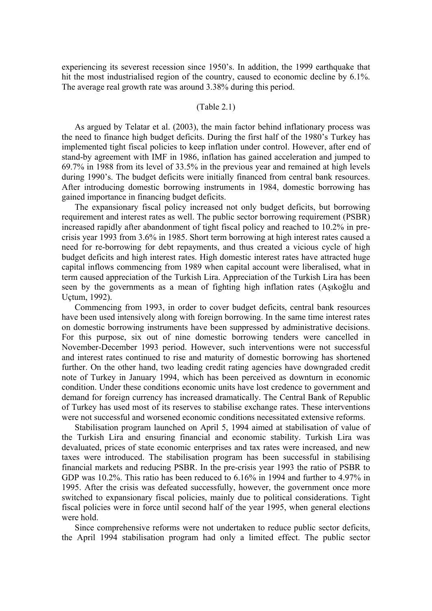experiencing its severest recession since 1950's. In addition, the 1999 earthquake that hit the most industrialised region of the country, caused to economic decline by 6.1%. The average real growth rate was around 3.38% during this period.

# (Table 2.1)

As argued by Telatar et al. (2003), the main factor behind inflationary process was the need to finance high budget deficits. During the first half of the 1980's Turkey has implemented tight fiscal policies to keep inflation under control. However, after end of stand-by agreement with IMF in 1986, inflation has gained acceleration and jumped to 69.7% in 1988 from its level of 33.5% in the previous year and remained at high levels during 1990's. The budget deficits were initially financed from central bank resources. After introducing domestic borrowing instruments in 1984, domestic borrowing has gained importance in financing budget deficits.

The expansionary fiscal policy increased not only budget deficits, but borrowing requirement and interest rates as well. The public sector borrowing requirement (PSBR) increased rapidly after abandonment of tight fiscal policy and reached to 10.2% in precrisis year 1993 from 3.6% in 1985. Short term borrowing at high interest rates caused a need for re-borrowing for debt repayments, and thus created a vicious cycle of high budget deficits and high interest rates. High domestic interest rates have attracted huge capital inflows commencing from 1989 when capital account were liberalised, what in term caused appreciation of the Turkish Lira. Appreciation of the Turkish Lira has been seen by the governments as a mean of fighting high inflation rates (Aşıkoğlu and Uçtum, 1992).

Commencing from 1993, in order to cover budget deficits, central bank resources have been used intensively along with foreign borrowing. In the same time interest rates on domestic borrowing instruments have been suppressed by administrative decisions. For this purpose, six out of nine domestic borrowing tenders were cancelled in November-December 1993 period. However, such interventions were not successful and interest rates continued to rise and maturity of domestic borrowing has shortened further. On the other hand, two leading credit rating agencies have downgraded credit note of Turkey in January 1994, which has been perceived as downturn in economic condition. Under these conditions economic units have lost credence to government and demand for foreign currency has increased dramatically. The Central Bank of Republic of Turkey has used most of its reserves to stabilise exchange rates. These interventions were not successful and worsened economic conditions necessitated extensive reforms.

Stabilisation program launched on April 5, 1994 aimed at stabilisation of value of the Turkish Lira and ensuring financial and economic stability. Turkish Lira was devaluated, prices of state economic enterprises and tax rates were increased, and new taxes were introduced. The stabilisation program has been successful in stabilising financial markets and reducing PSBR. In the pre-crisis year 1993 the ratio of PSBR to GDP was 10.2%. This ratio has been reduced to 6.16% in 1994 and further to 4.97% in 1995. After the crisis was defeated successfully, however, the government once more switched to expansionary fiscal policies, mainly due to political considerations. Tight fiscal policies were in force until second half of the year 1995, when general elections were hold.

Since comprehensive reforms were not undertaken to reduce public sector deficits, the April 1994 stabilisation program had only a limited effect. The public sector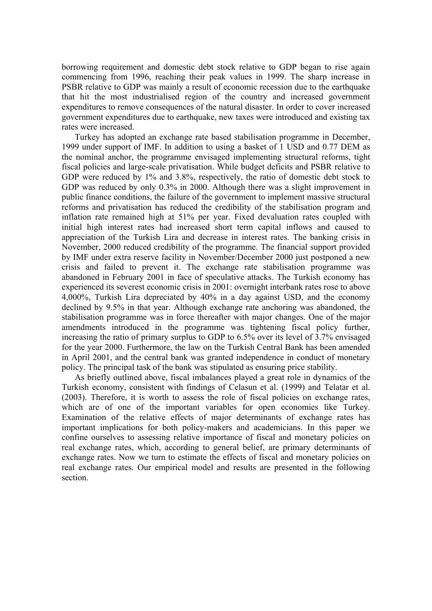borrowing requirement and domestic debt stock relative to GDP began to rise again commencing from 1996, reaching their peak values in 1999. The sharp increase in PSBR relative to GDP was mainly a result of economic recession due to the earthquake that hit the most industrialised region of the country and increased government expenditures to remove consequences of the natural disaster. In order to cover increased government expenditures due to earthquake, new taxes were introduced and existing tax rates were increased.

Turkey has adopted an exchange rate based stabilisation programme in December, 1999 under support of IMF. In addition to using a basket of 1 USD and 0.77 DEM as the nominal anchor, the programme envisaged implementing structural reforms, tight fiscal policies and large-scale privatisation. While budget deficits and PSBR relative to GDP were reduced by 1% and 3.8%, respectively, the ratio of domestic debt stock to GDP was reduced by only 0.3% in 2000. Although there was a slight improvement in public finance conditions, the failure of the government to implement massive structural reforms and privatisation has reduced the credibility of the stabilisation program and inflation rate remained high at 51% per year. Fixed devaluation rates coupled with initial high interest rates had increased short term capital inflows and caused to appreciation of the Turkish Lira and decrease in interest rates. The banking crisis in November, 2000 reduced credibility of the programme. The financial support provided by IMF under extra reserve facility in November/December 2000 just postponed a new crisis and failed to prevent it. The exchange rate stabilisation programme was abandoned in February 2001 in face of speculative attacks. The Turkish economy has experienced its severest economic crisis in 2001: overnight interbank rates rose to above 4,000%, Turkish Lira depreciated by 40% in a day against USD, and the economy declined by 9.5% in that year. Although exchange rate anchoring was abandoned, the stabilisation programme was in force thereafter with major changes. One of the major amendments introduced in the programme was tightening fiscal policy further, increasing the ratio of primary surplus to GDP to 6.5% over its level of 3.7% envisaged for the year 2000. Furthermore, the law on the Turkish Central Bank has been amended in April 2001, and the central bank was granted independence in conduct of monetary policy. The principal task of the bank was stipulated as ensuring price stability.

As briefly outlined above, fiscal imbalances played a great role in dynamics of the Turkish economy, consistent with findings of Celasun et al. (1999) and Telatar et al. (2003). Therefore, it is worth to assess the role of fiscal policies on exchange rates, which are of one of the important variables for open economies like Turkey. Examination of the relative effects of major determinants of exchange rates has important implications for both policy-makers and academicians. In this paper we confine ourselves to assessing relative importance of fiscal and monetary policies on real exchange rates, which, according to general belief, are primary determinants of exchange rates. Now we turn to estimate the effects of fiscal and monetary policies on real exchange rates. Our empirical model and results are presented in the following section.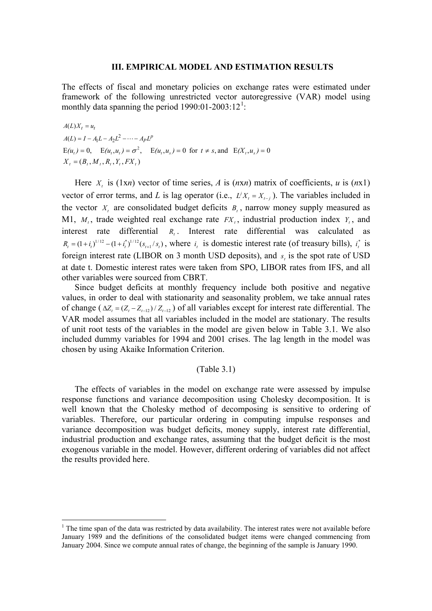#### **III. EMPIRICAL MODEL AND ESTIMATION RESULTS**

<span id="page-4-0"></span>The effects of fiscal and monetary policies on exchange rates were estimated under framework of the following unrestricted vector autoregressive (VAR) model using monthly data spanning the period  $1990:01-2003:12<sup>1</sup>$  $1990:01-2003:12<sup>1</sup>$ :

 $A(L)X_t = u_t$  $A(L) = I - A_1 L - A_2 L^2 - \cdots - A_P L^P$  $E(u_t) = 0$ ,  $E(u_t, u_t) = \sigma^2$ ,  $E(u_t, u_s) = 0$  for  $t \neq s$ , and  $E(X_t, u_s) = 0$  $X_t = (B_t, M_t, R_t, Y_t, FX_t)$ 

Here  $X_t$  is (1x*n*) vector of time series, *A* is (*nxn*) matrix of coefficients, *u* is (*nx1*) vector of error terms, and *L* is lag operator (i.e.,  $L^j X_i = X_{i-j}$ ). The variables included in the vector  $X_t$  are consolidated budget deficits  $B_t$ , narrow money supply measured as M1,  $M_t$ , trade weighted real exchange rate  $FX_t$ , industrial production index  $Y_t$ , and interest rate differential *R<sub>t</sub>*. Interest rate differential was calculated as  $R_t = (1 + i_t)^{1/12} - (1 + i_t^*)^{1/12}(s_{t+1}/s_t)$ , where  $i_t$  is domestic interest rate (of treasury bills),  $i_t^*$  is foreign interest rate (LIBOR on 3 month USD deposits), and  $s<sub>i</sub>$  is the spot rate of USD at date t. Domestic interest rates were taken from SPO, LIBOR rates from IFS, and all other variables were sourced from CBRT.

Since budget deficits at monthly frequency include both positive and negative values, in order to deal with stationarity and seasonality problem, we take annual rates of change  $(\Delta Z_t = (Z_t - Z_{t-12}) / Z_{t-12})$  of all variables except for interest rate differential. The VAR model assumes that all variables included in the model are stationary. The results of unit root tests of the variables in the model are given below in Table 3.1. We also included dummy variables for 1994 and 2001 crises. The lag length in the model was chosen by using Akaike Information Criterion.

### (Table 3.1)

The effects of variables in the model on exchange rate were assessed by impulse response functions and variance decomposition using Cholesky decomposition. It is well known that the Cholesky method of decomposing is sensitive to ordering of variables. Therefore, our particular ordering in computing impulse responses and variance decomposition was budget deficits, money supply, interest rate differential, industrial production and exchange rates, assuming that the budget deficit is the most exogenous variable in the model. However, different ordering of variables did not affect the results provided here.

1

<sup>&</sup>lt;sup>1</sup> The time span of the data was restricted by data availability. The interest rates were not available before January 1989 and the definitions of the consolidated budget items were changed commencing from January 2004. Since we compute annual rates of change, the beginning of the sample is January 1990.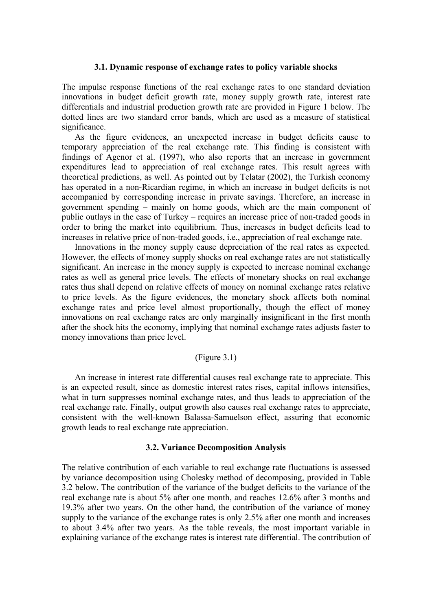### **3.1. Dynamic response of exchange rates to policy variable shocks**

The impulse response functions of the real exchange rates to one standard deviation innovations in budget deficit growth rate, money supply growth rate, interest rate differentials and industrial production growth rate are provided in Figure 1 below. The dotted lines are two standard error bands, which are used as a measure of statistical significance.

As the figure evidences, an unexpected increase in budget deficits cause to temporary appreciation of the real exchange rate. This finding is consistent with findings of Agenor et al. (1997), who also reports that an increase in government expenditures lead to appreciation of real exchange rates. This result agrees with theoretical predictions, as well. As pointed out by Telatar (2002), the Turkish economy has operated in a non-Ricardian regime, in which an increase in budget deficits is not accompanied by corresponding increase in private savings. Therefore, an increase in government spending – mainly on home goods, which are the main component of public outlays in the case of Turkey – requires an increase price of non-traded goods in order to bring the market into equilibrium. Thus, increases in budget deficits lead to increases in relative price of non-traded goods, i.e., appreciation of real exchange rate.

Innovations in the money supply cause depreciation of the real rates as expected. However, the effects of money supply shocks on real exchange rates are not statistically significant. An increase in the money supply is expected to increase nominal exchange rates as well as general price levels. The effects of monetary shocks on real exchange rates thus shall depend on relative effects of money on nominal exchange rates relative to price levels. As the figure evidences, the monetary shock affects both nominal exchange rates and price level almost proportionally, though the effect of money innovations on real exchange rates are only marginally insignificant in the first month after the shock hits the economy, implying that nominal exchange rates adjusts faster to money innovations than price level.

# (Figure 3.1)

An increase in interest rate differential causes real exchange rate to appreciate. This is an expected result, since as domestic interest rates rises, capital inflows intensifies, what in turn suppresses nominal exchange rates, and thus leads to appreciation of the real exchange rate. Finally, output growth also causes real exchange rates to appreciate, consistent with the well-known Balassa-Samuelson effect, assuring that economic growth leads to real exchange rate appreciation.

# **3.2. Variance Decomposition Analysis**

The relative contribution of each variable to real exchange rate fluctuations is assessed by variance decomposition using Cholesky method of decomposing, provided in Table 3.2 below. The contribution of the variance of the budget deficits to the variance of the real exchange rate is about 5% after one month, and reaches 12.6% after 3 months and 19.3% after two years. On the other hand, the contribution of the variance of money supply to the variance of the exchange rates is only 2.5% after one month and increases to about 3.4% after two years. As the table reveals, the most important variable in explaining variance of the exchange rates is interest rate differential. The contribution of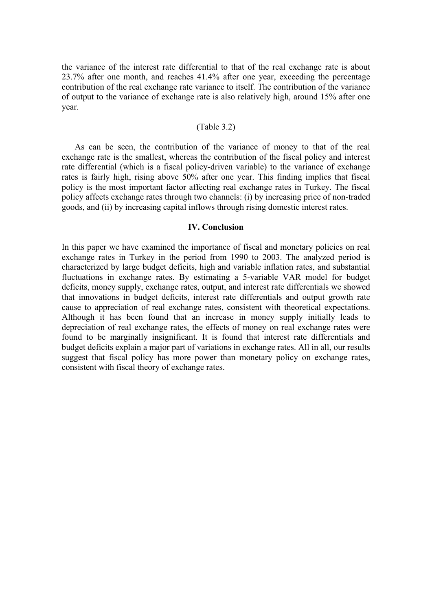the variance of the interest rate differential to that of the real exchange rate is about 23.7% after one month, and reaches 41.4% after one year, exceeding the percentage contribution of the real exchange rate variance to itself. The contribution of the variance of output to the variance of exchange rate is also relatively high, around 15% after one year.

#### (Table 3.2)

As can be seen, the contribution of the variance of money to that of the real exchange rate is the smallest, whereas the contribution of the fiscal policy and interest rate differential (which is a fiscal policy-driven variable) to the variance of exchange rates is fairly high, rising above 50% after one year. This finding implies that fiscal policy is the most important factor affecting real exchange rates in Turkey. The fiscal policy affects exchange rates through two channels: (i) by increasing price of non-traded goods, and (ii) by increasing capital inflows through rising domestic interest rates.

# **IV. Conclusion**

In this paper we have examined the importance of fiscal and monetary policies on real exchange rates in Turkey in the period from 1990 to 2003. The analyzed period is characterized by large budget deficits, high and variable inflation rates, and substantial fluctuations in exchange rates. By estimating a 5-variable VAR model for budget deficits, money supply, exchange rates, output, and interest rate differentials we showed that innovations in budget deficits, interest rate differentials and output growth rate cause to appreciation of real exchange rates, consistent with theoretical expectations. Although it has been found that an increase in money supply initially leads to depreciation of real exchange rates, the effects of money on real exchange rates were found to be marginally insignificant. It is found that interest rate differentials and budget deficits explain a major part of variations in exchange rates. All in all, our results suggest that fiscal policy has more power than monetary policy on exchange rates, consistent with fiscal theory of exchange rates.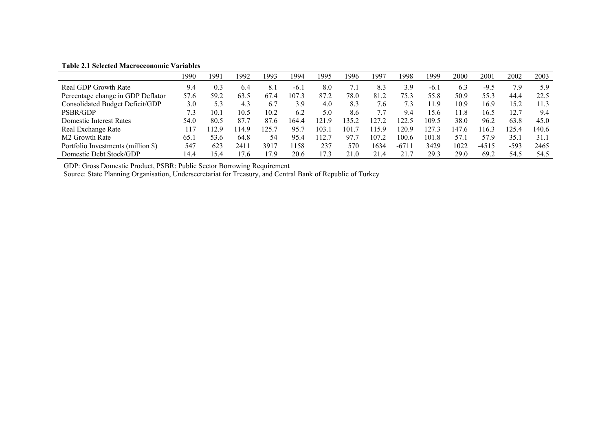|                                    | 1990 | 1991 | 1992  | 1993 | 1994  | 1995  | 1996  | 1997  | 1998    | 1999   | 2000  | 200     | 2002   | 2003        |
|------------------------------------|------|------|-------|------|-------|-------|-------|-------|---------|--------|-------|---------|--------|-------------|
| Real GDP Growth Rate               | 9.4  | 0.3  | 6.4   | 8.1  | $-6.$ | 8.0   |       | 8.3   | 3.9     | $-6.1$ | 6.3   | $-9.5$  | 7.9    | 5.9         |
| Percentage change in GDP Deflator  | 57.6 | 59.2 | 63.5  | 67.4 | 107.3 | 87.2  | 78.0  | 81.2  | 75.3    | 55.8   | 50.9  | 55.3    | 44.4   | 22.5        |
| Consolidated Budget Deficit/GDP    | 3.0  | 5.3  | 4.3   | 6.7  | 3.9   | 4.0   | 8.3   | .6    |         | 11.9   | 10.9  | 16.9    | 15.2   | $\vert$ 1.3 |
| PSBR/GDP                           | 7.3  | 10.1 | 10.5  | 10.2 | 6.2   | 5.0   | 8.6   |       | 9.4     | 15.6   | 11.8  | 16.5    |        | 9.4         |
| Domestic Interest Rates            | 54.0 | 80.5 | 87.7  | 87.6 | 164.4 | 121.9 | 135.2 | 127.2 | 22.5    | 109.5  | 38.0  | 96.2    | 63.8   | 45.0        |
| Real Exchange Rate                 | 117  | 129  | 114.9 | 125. | 95.7  | 103.  | 101   | 115.9 | 20.9    | 27.3   | 147.6 | 16.3    | 125.4  | 140.6       |
| M <sub>2</sub> Growth Rate         | 65.  | 53.6 | 64.8  | 54   | 95.4  | 12.7  | 97.7  | 107.2 | 100.6   | 101.8  | 57.   | 57.9    | 35.1   | 31.1        |
| Portfolio Investments (million \$) | 547  | 623  | 241   | 3917 | 158   | 237   | 570   | 1634  | $-6711$ | 3429   | 1022  | $-4515$ | $-593$ | 2465        |
| Domestic Debt Stock/GDP            | 14.4 | 15.4 | 7.6   | 7.9  | 20.6  | 17.3  | 21.0  | 21.4  | 21.1    | 29.3   | 29.0  | 69.2    | 54.5   | 54.5        |

**Table 2.1 Selected Macroeconomic Variables** 

GDP: Gross Domestic Product, PSBR: Public Sector Borrowing Requirement

Source: State Planning Organisation, Undersecretariat for Treasury, and Central Bank of Republic of Turkey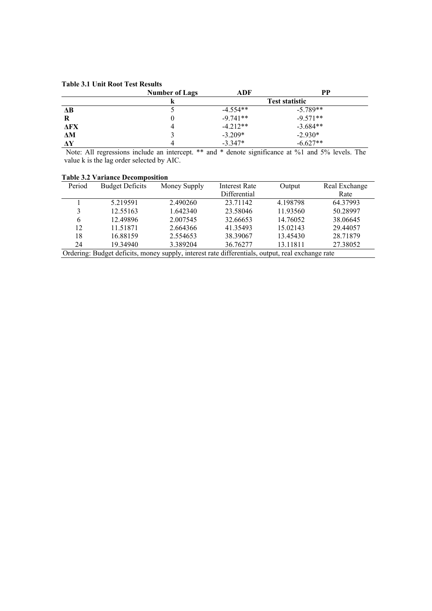#### **Table 3.1 Unit Root Test Results**

|            | <b>Number of Lags</b> | ADF        | PP                    |
|------------|-----------------------|------------|-----------------------|
|            |                       |            | <b>Test statistic</b> |
| $\Delta B$ |                       | $-4.554**$ | $-5.789**$            |
| R          |                       | $-9.741**$ | $-9.571**$            |
| ΔFX        |                       | $-4.212**$ | $-3.684**$            |
| ΔM         |                       | $-3.209*$  | $-2.930*$             |
| $\Delta Y$ |                       | $-3.347*$  | $-6.627**$            |

 Note: All regressions include an intercept. \*\* and \* denote significance at %1 and 5% levels. The value k is the lag order selected by AIC.

| Period                                                                                           | <b>Budget Deficits</b> | Money Supply | <b>Interest Rate</b> | Output   | Real Exchange |  |  |  |
|--------------------------------------------------------------------------------------------------|------------------------|--------------|----------------------|----------|---------------|--|--|--|
|                                                                                                  |                        |              | Differential         |          | Rate          |  |  |  |
|                                                                                                  | 5.219591               | 2.490260     | 23.71142             | 4.198798 | 64.37993      |  |  |  |
| 3                                                                                                | 12.55163               | 1.642340     | 23.58046             | 11.93560 | 50.28997      |  |  |  |
| 6                                                                                                | 12.49896               | 2.007545     | 32.66653             | 14.76052 | 38.06645      |  |  |  |
| 12                                                                                               | 11.51871               | 2.664366     | 41.35493             | 15.02143 | 29.44057      |  |  |  |
| 18                                                                                               | 16.88159               | 2.554653     | 38.39067             | 13.45430 | 28.71879      |  |  |  |
| 24                                                                                               | 19.34940               | 3.389204     | 36.76277             | 13.11811 | 27.38052      |  |  |  |
| Ordering: Budget deficits, money supply, interest rate differentials, output, real exchange rate |                        |              |                      |          |               |  |  |  |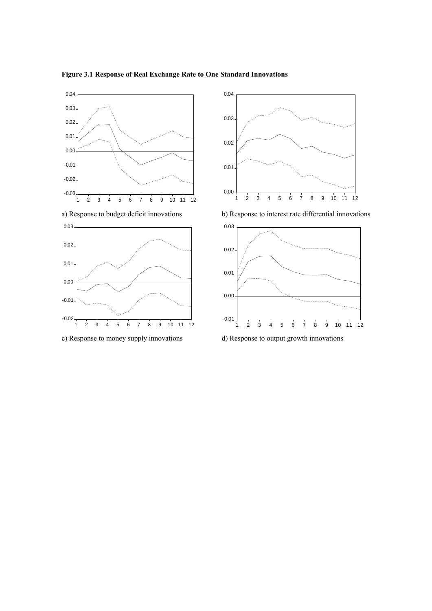



c) Response to money supply innovations d) Response to output growth innovations



a) Response to budget deficit innovations b) Response to interest rate differential innovations



# **Figure 3.1 Response of Real Exchange Rate to One Standard Innovations**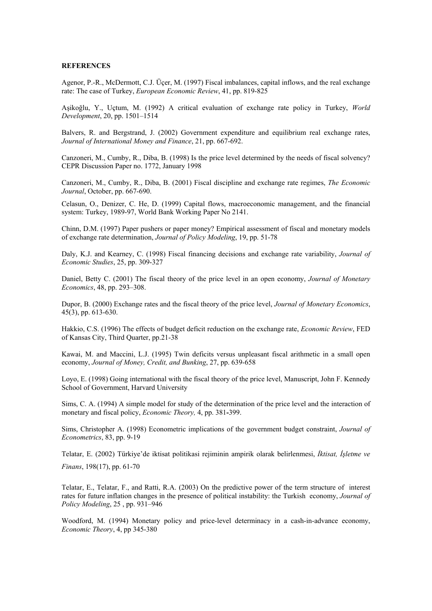#### **REFERENCES**

Agenor, P.-R., McDermott, C.J. Üçer, M. (1997) Fiscal imbalances, capital inflows, and the real exchange rate: The case of Turkey, *European Economic Review*, 41, pp. 819-825

Aşikoğlu, Y., Uçtum, M. (1992) A critical evaluation of exchange rate policy in Turkey, *World Development*, 20, pp. 1501–1514

Balvers, R. and Bergstrand, J. (2002) Government expenditure and equilibrium real exchange rates, *Journal of International Money and Finance*, 21, pp. 667-692.

Canzoneri, M., Cumby, R., Diba, B. (1998) Is the price level determined by the needs of fiscal solvency? CEPR Discussion Paper no. 1772, January 1998

Canzoneri, M., Cumby, R., Diba, B. (2001) Fiscal discipline and exchange rate regimes, *The Economic Journal*, October, pp. 667-690.

Celasun, O., Denizer, C. He, D. (1999) Capital flows, macroeconomic management, and the financial system: Turkey, 1989-97, World Bank Working Paper No 2141.

Chinn, D.M. (1997) Paper pushers or paper money? Empirical assessment of fiscal and monetary models of exchange rate determination, *Journal of Policy Modeling*, 19, pp. 51-78

Daly, K.J. and Kearney, C. (1998) Fiscal financing decisions and exchange rate variability, *Journal of Economic Studies*, 25, pp. 309-327

Daniel, Betty C. (2001) The fiscal theory of the price level in an open economy, *Journal of Monetary Economics*, 48, pp. 293–308.

Dupor, B. (2000) Exchange rates and the fiscal theory of the price level, *Journal of Monetary Economics*, 45(3), pp. 613-630.

Hakkio, C.S. (1996) The effects of budget deficit reduction on the exchange rate, *Economic Review*, FED of Kansas City, Third Quarter, pp.21-38

Kawai, M. and Maccini, L.J. (1995) Twin deficits versus unpleasant fiscal arithmetic in a small open economy, *Journal of Money, Credit, and Bunking*, 27, pp. 639-658

Loyo, E. (1998) Going international with the fiscal theory of the price level, Manuscript, John F. Kennedy School of Government, Harvard University

Sims, C. A. (1994) A simple model for study of the determination of the price level and the interaction of monetary and fiscal policy, *Economic Theory,* 4, pp. 381**-**399.

Sims, Christopher A. (1998) Econometric implications of the government budget constraint, *Journal of Econometrics*, 83, pp. 9-19

Telatar, E. (2002) Türkiye'de iktisat politikasi rejiminin ampirik olarak belirlenmesi, *İktisat, İşletme ve* 

*Finans*, 198(17), pp. 61-70

Telatar, E., Telatar, F., and Ratti, R.A. (2003) On the predictive power of the term structure of interest rates for future inflation changes in the presence of political instability: the Turkish economy, *Journal of Policy Modeling*, 25 , pp. 931–946

Woodford, M. (1994) Monetary policy and price-level determinacy in a cash-in-advance economy, *Economic Theory*, 4, pp 345-380